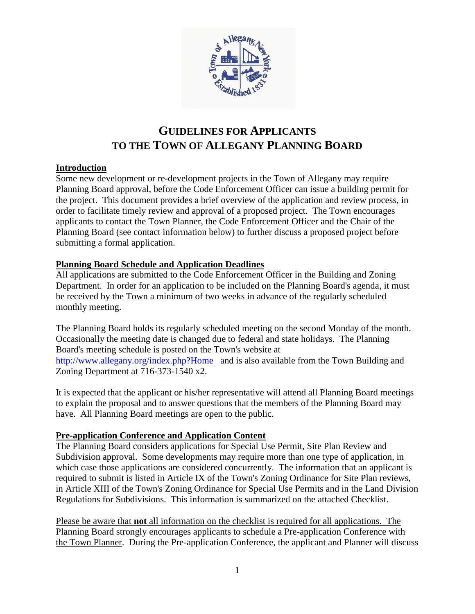

# **GUIDELINES FOR APPLICANTS TO THE TOWN OF ALLEGANY PLANNING BOARD**

## **Introduction**

Some new development or re-development projects in the Town of Allegany may require Planning Board approval, before the Code Enforcement Officer can issue a building permit for the project. This document provides a brief overview of the application and review process, in order to facilitate timely review and approval of a proposed project. The Town encourages applicants to contact the Town Planner, the Code Enforcement Officer and the Chair of the Planning Board (see contact information below) to further discuss a proposed project before submitting a formal application.

## **Planning Board Schedule and Application Deadlines**

All applications are submitted to the Code Enforcement Officer in the Building and Zoning Department. In order for an application to be included on the Planning Board's agenda, it must be received by the Town a minimum of two weeks in advance of the regularly scheduled monthly meeting.

The Planning Board holds its regularly scheduled meeting on the second Monday of the month. Occasionally the meeting date is changed due to federal and state holidays. The Planning Board's meeting schedule is posted on the Town's website at <http://www.allegany.org/index.php?Home>and is also available from the Town Building and Zoning Department at 716-373-1540 x2.

It is expected that the applicant or his/her representative will attend all Planning Board meetings to explain the proposal and to answer questions that the members of the Planning Board may have. All Planning Board meetings are open to the public.

## **Pre-application Conference and Application Content**

The Planning Board considers applications for Special Use Permit, Site Plan Review and Subdivision approval. Some developments may require more than one type of application, in which case those applications are considered concurrently. The information that an applicant is required to submit is listed in Article IX of the Town's Zoning Ordinance for Site Plan reviews, in Article XIII of the Town's Zoning Ordinance for Special Use Permits and in the Land Division Regulations for Subdivisions. This information is summarized on the attached Checklist.

Please be aware that **not** all information on the checklist is required for all applications. The Planning Board strongly encourages applicants to schedule a Pre-application Conference with the Town Planner. During the Pre-application Conference, the applicant and Planner will discuss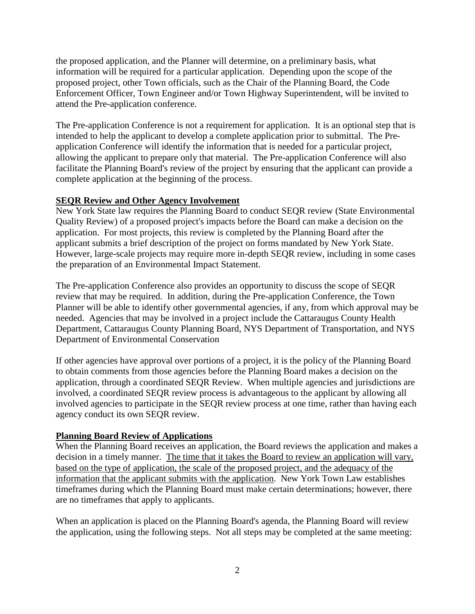the proposed application, and the Planner will determine, on a preliminary basis, what information will be required for a particular application. Depending upon the scope of the proposed project, other Town officials, such as the Chair of the Planning Board, the Code Enforcement Officer, Town Engineer and/or Town Highway Superintendent, will be invited to attend the Pre-application conference.

The Pre-application Conference is not a requirement for application. It is an optional step that is intended to help the applicant to develop a complete application prior to submittal. The Preapplication Conference will identify the information that is needed for a particular project, allowing the applicant to prepare only that material. The Pre-application Conference will also facilitate the Planning Board's review of the project by ensuring that the applicant can provide a complete application at the beginning of the process.

## **SEQR Review and Other Agency Involvement**

New York State law requires the Planning Board to conduct SEQR review (State Environmental Quality Review) of a proposed project's impacts before the Board can make a decision on the application. For most projects, this review is completed by the Planning Board after the applicant submits a brief description of the project on forms mandated by New York State. However, large-scale projects may require more in-depth SEQR review, including in some cases the preparation of an Environmental Impact Statement.

The Pre-application Conference also provides an opportunity to discuss the scope of SEQR review that may be required. In addition, during the Pre-application Conference, the Town Planner will be able to identify other governmental agencies, if any, from which approval may be needed. Agencies that may be involved in a project include the Cattaraugus County Health Department, Cattaraugus County Planning Board, NYS Department of Transportation, and NYS Department of Environmental Conservation

If other agencies have approval over portions of a project, it is the policy of the Planning Board to obtain comments from those agencies before the Planning Board makes a decision on the application, through a coordinated SEQR Review. When multiple agencies and jurisdictions are involved, a coordinated SEQR review process is advantageous to the applicant by allowing all involved agencies to participate in the SEQR review process at one time, rather than having each agency conduct its own SEQR review.

## **Planning Board Review of Applications**

When the Planning Board receives an application, the Board reviews the application and makes a decision in a timely manner. The time that it takes the Board to review an application will vary, based on the type of application, the scale of the proposed project, and the adequacy of the information that the applicant submits with the application. New York Town Law establishes timeframes during which the Planning Board must make certain determinations; however, there are no timeframes that apply to applicants.

When an application is placed on the Planning Board's agenda, the Planning Board will review the application, using the following steps. Not all steps may be completed at the same meeting: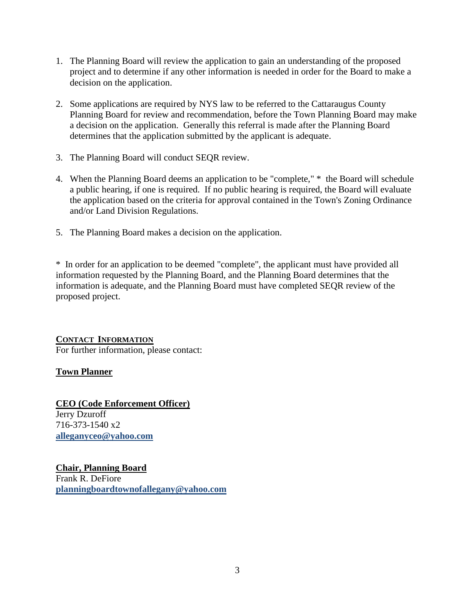- 1. The Planning Board will review the application to gain an understanding of the proposed project and to determine if any other information is needed in order for the Board to make a decision on the application.
- 2. Some applications are required by NYS law to be referred to the Cattaraugus County Planning Board for review and recommendation, before the Town Planning Board may make a decision on the application. Generally this referral is made after the Planning Board determines that the application submitted by the applicant is adequate.
- 3. The Planning Board will conduct SEQR review.
- 4. When the Planning Board deems an application to be "complete," \* the Board will schedule a public hearing, if one is required. If no public hearing is required, the Board will evaluate the application based on the criteria for approval contained in the Town's Zoning Ordinance and/or Land Division Regulations.
- 5. The Planning Board makes a decision on the application.

\* In order for an application to be deemed "complete", the applicant must have provided all information requested by the Planning Board, and the Planning Board determines that the information is adequate, and the Planning Board must have completed SEQR review of the proposed project.

**CONTACT INFORMATION** For further information, please contact:

## **Town Planner**

**CEO (Code Enforcement Officer)** Jerry Dzuroff 716-373-1540 x2 **alleganyceo@yahoo.com**

**Chair, Planning Board** Frank R. DeFiore **planningboardtownofallegany@yahoo.com**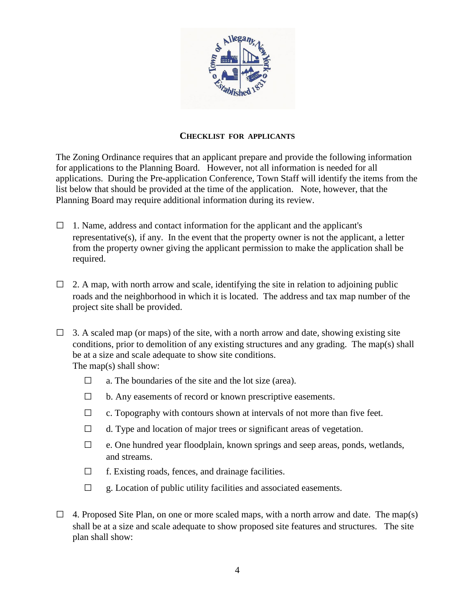

### **CHECKLIST FOR APPLICANTS**

The Zoning Ordinance requires that an applicant prepare and provide the following information for applications to the Planning Board. However, not all information is needed for all applications. During the Pre-application Conference, Town Staff will identify the items from the list below that should be provided at the time of the application. Note, however, that the Planning Board may require additional information during its review.

- $\Box$  1. Name, address and contact information for the applicant and the applicant's representative(s), if any. In the event that the property owner is not the applicant, a letter from the property owner giving the applicant permission to make the application shall be required.
- $\Box$  2. A map, with north arrow and scale, identifying the site in relation to adjoining public roads and the neighborhood in which it is located. The address and tax map number of the project site shall be provided.
- $\Box$  3. A scaled map (or maps) of the site, with a north arrow and date, showing existing site conditions, prior to demolition of any existing structures and any grading. The map(s) shall be at a size and scale adequate to show site conditions. The map(s) shall show:
	- $\Box$  a. The boundaries of the site and the lot size (area).
	- $\Box$  b. Any easements of record or known prescriptive easements.
	- $\Box$  c. Topography with contours shown at intervals of not more than five feet.
	- $\Box$  d. Type and location of major trees or significant areas of vegetation.
	- $\Box$  e. One hundred year floodplain, known springs and seep areas, ponds, wetlands, and streams.
	- $\Box$  f. Existing roads, fences, and drainage facilities.
	- $\Box$  g. Location of public utility facilities and associated easements.
- $\Box$  4. Proposed Site Plan, on one or more scaled maps, with a north arrow and date. The map(s) shall be at a size and scale adequate to show proposed site features and structures. The site plan shall show: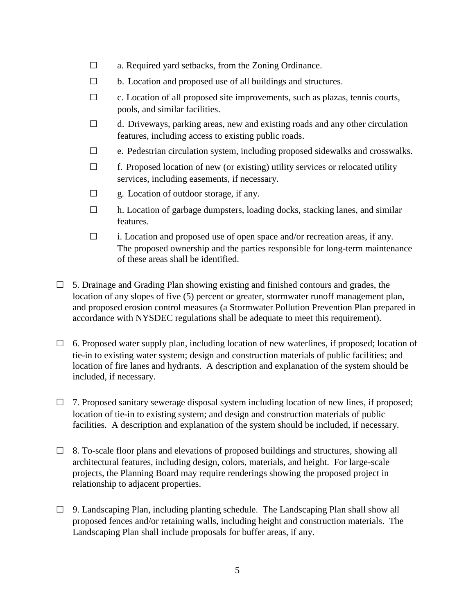- □ a. Required yard setbacks, from the Zoning Ordinance.
- $\Box$  b. Location and proposed use of all buildings and structures.
- $\Box$  c. Location of all proposed site improvements, such as plazas, tennis courts, pools, and similar facilities.
- $\Box$  d. Driveways, parking areas, new and existing roads and any other circulation features, including access to existing public roads.
- $\Box$  e. Pedestrian circulation system, including proposed sidewalks and crosswalks.
- $\Box$  f. Proposed location of new (or existing) utility services or relocated utility services, including easements, if necessary.
- $\Box$  g. Location of outdoor storage, if any.
- $\Box$  h. Location of garbage dumpsters, loading docks, stacking lanes, and similar features.
- □ i. Location and proposed use of open space and/or recreation areas, if any. The proposed ownership and the parties responsible for long-term maintenance of these areas shall be identified.
- $\Box$  5. Drainage and Grading Plan showing existing and finished contours and grades, the location of any slopes of five (5) percent or greater, stormwater runoff management plan, and proposed erosion control measures (a Stormwater Pollution Prevention Plan prepared in accordance with NYSDEC regulations shall be adequate to meet this requirement).
- $\Box$  6. Proposed water supply plan, including location of new waterlines, if proposed; location of tie-in to existing water system; design and construction materials of public facilities; and location of fire lanes and hydrants. A description and explanation of the system should be included, if necessary.
- $\Box$  7. Proposed sanitary sewerage disposal system including location of new lines, if proposed; location of tie-in to existing system; and design and construction materials of public facilities. A description and explanation of the system should be included, if necessary.
- $\Box$  8. To-scale floor plans and elevations of proposed buildings and structures, showing all architectural features, including design, colors, materials, and height. For large-scale projects, the Planning Board may require renderings showing the proposed project in relationship to adjacent properties.
- $\Box$  9. Landscaping Plan, including planting schedule. The Landscaping Plan shall show all proposed fences and/or retaining walls, including height and construction materials. The Landscaping Plan shall include proposals for buffer areas, if any.